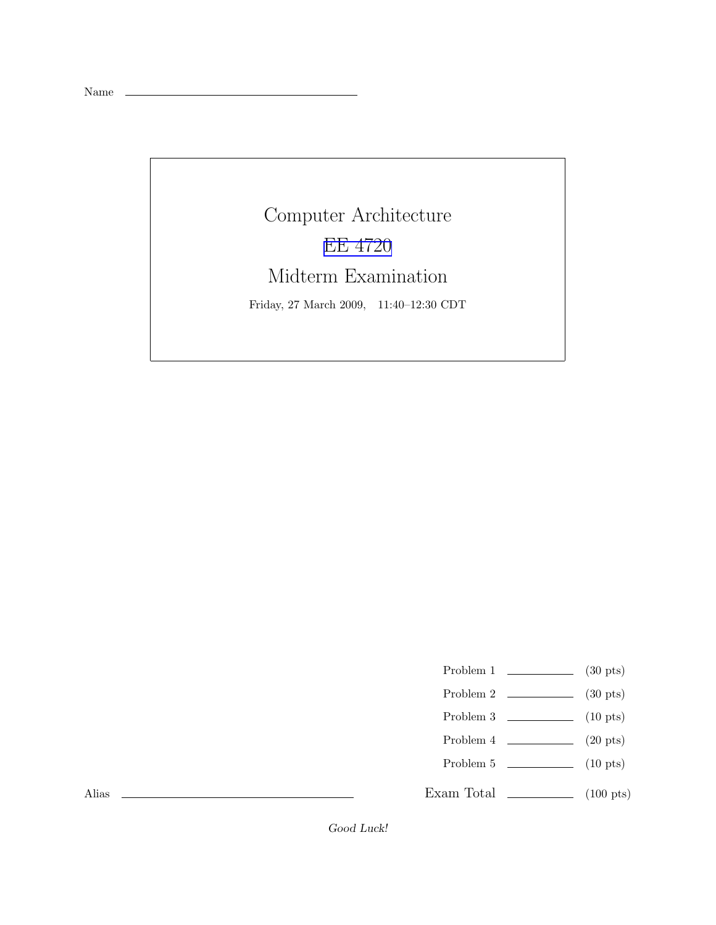Name \_\_

Computer Architecture [EE 4720](http://www.ece.lsu.edu/ee4720/) Midterm Examination Friday, 27 March 2009, 11:40–12:30 CDT

Problem 1  $\qquad \qquad$  (30 pts)

- Problem 2  $\qquad \qquad$  (30 pts)
- Problem 3 (10 pts)
- Problem 4  $\qquad \qquad$  (20 pts)
- Problem 5 (10 pts)

Exam Total \_\_\_\_\_\_\_\_\_\_\_\_\_\_ (100 pts)

Alias

Good Luck!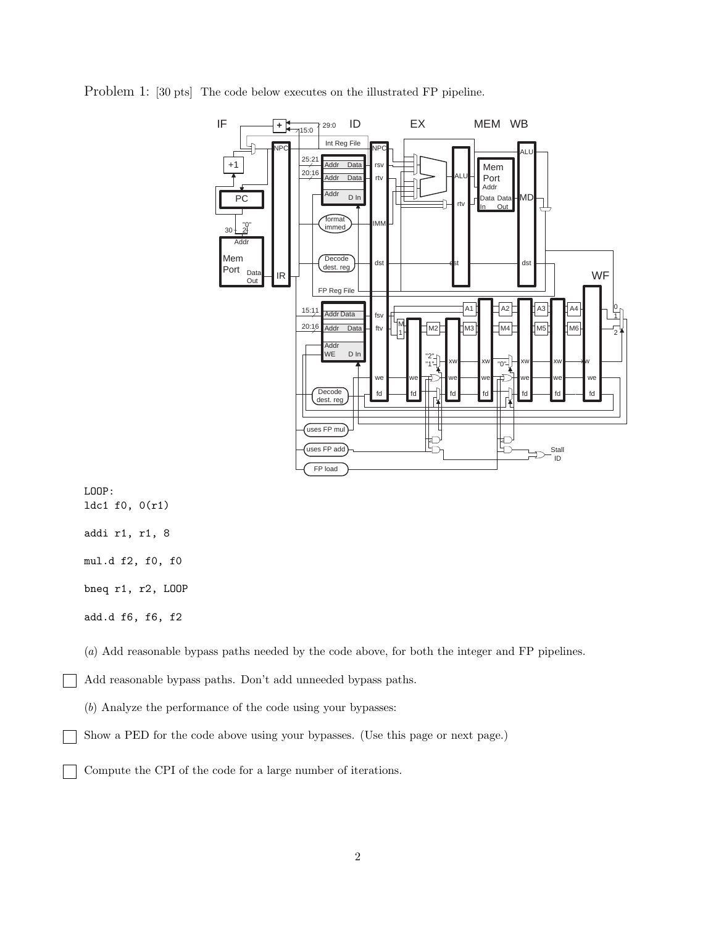

Problem 1: [30 pts] The code below executes on the illustrated FP pipeline.

LOOP: ldc1 f0, 0(r1) addi r1, r1, 8 mul.d f2, f0, f0 bneq r1, r2, LOOP add.d f6, f6, f2

(a) Add reasonable bypass paths needed by the code above, for both the integer and FP pipelines.

Add reasonable bypass paths. Don't add unneeded bypass paths.

(b) Analyze the performance of the code using your bypasses:

Show a PED for the code above using your bypasses. (Use this page or next page.)

Compute the CPI of the code for a large number of iterations.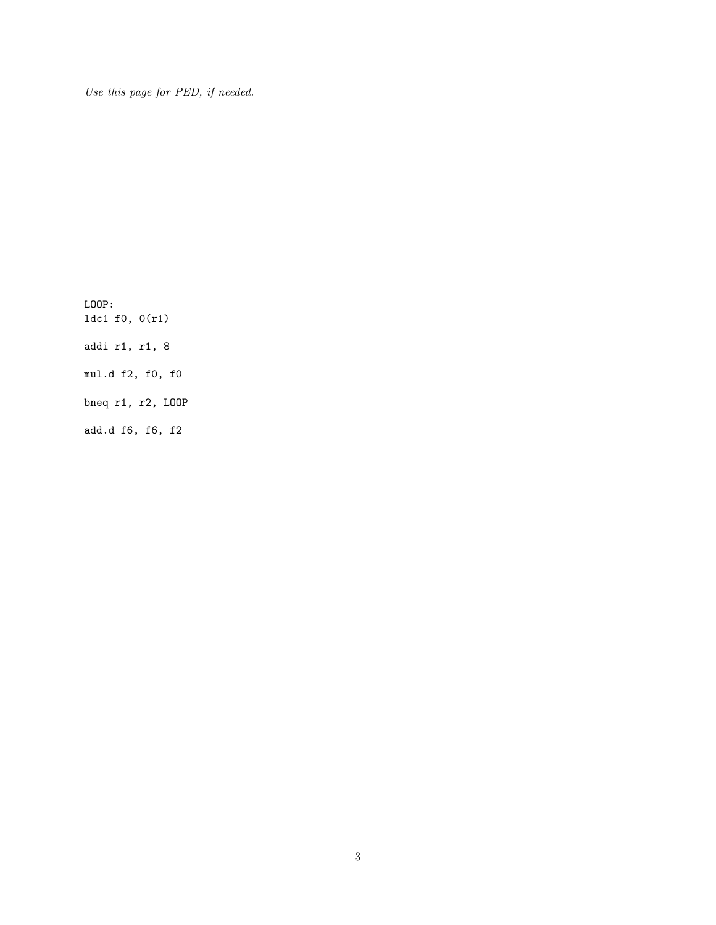Use this page for PED, if needed.

LOOP: ldc1 f0, 0(r1) addi r1, r1, 8 mul.d f2, f0, f0 bneq r1, r2, LOOP add.d f6, f6, f2

3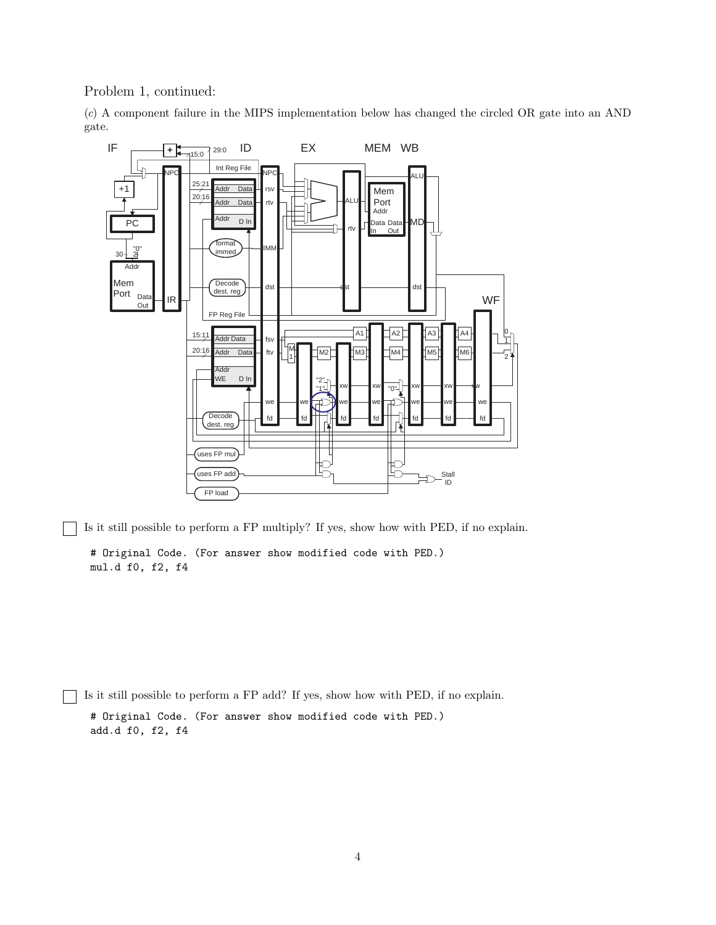Problem 1, continued:

(c) A component failure in the MIPS implementation below has changed the circled OR gate into an AND gate.



Is it still possible to perform a FP multiply? If yes, show how with PED, if no explain.

# Original Code. (For answer show modified code with PED.) mul.d f0, f2, f4

Is it still possible to perform a FP add? If yes, show how with PED, if no explain. # Original Code. (For answer show modified code with PED.) add.d f0, f2, f4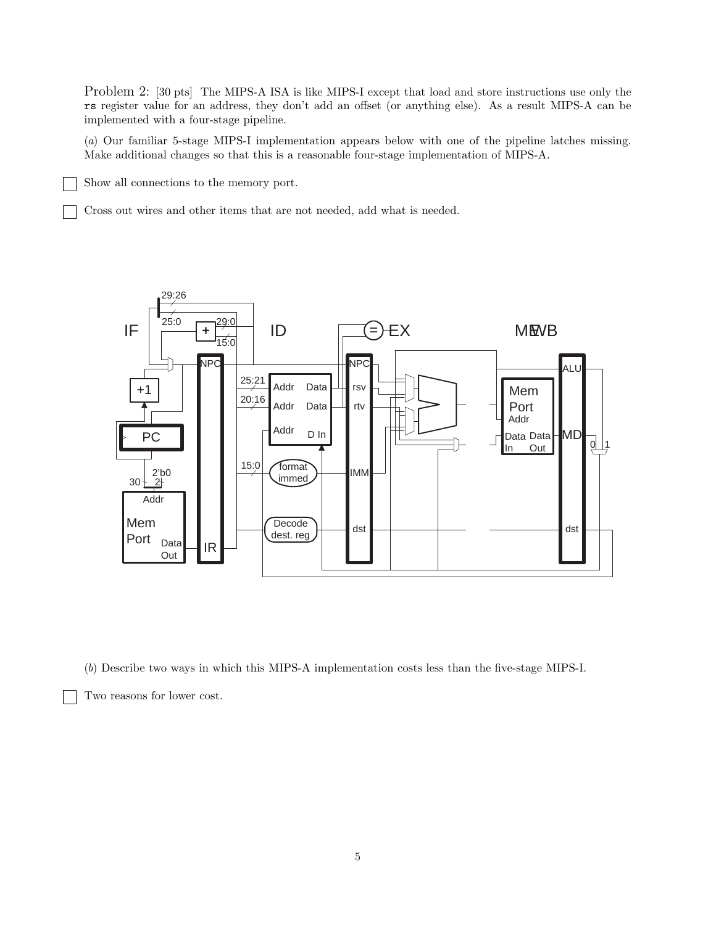Problem 2: [30 pts] The MIPS-A ISA is like MIPS-I except that load and store instructions use only the rs register value for an address, they don't add an offset (or anything else). As a result MIPS-A can be implemented with a four-stage pipeline.

(a) Our familiar 5-stage MIPS-I implementation appears below with one of the pipeline latches missing. Make additional changes so that this is a reasonable four-stage implementation of MIPS-A.

Show all connections to the memory port.

Cross out wires and other items that are not needed, add what is needed.



(b) Describe two ways in which this MIPS-A implementation costs less than the five-stage MIPS-I.

Two reasons for lower cost.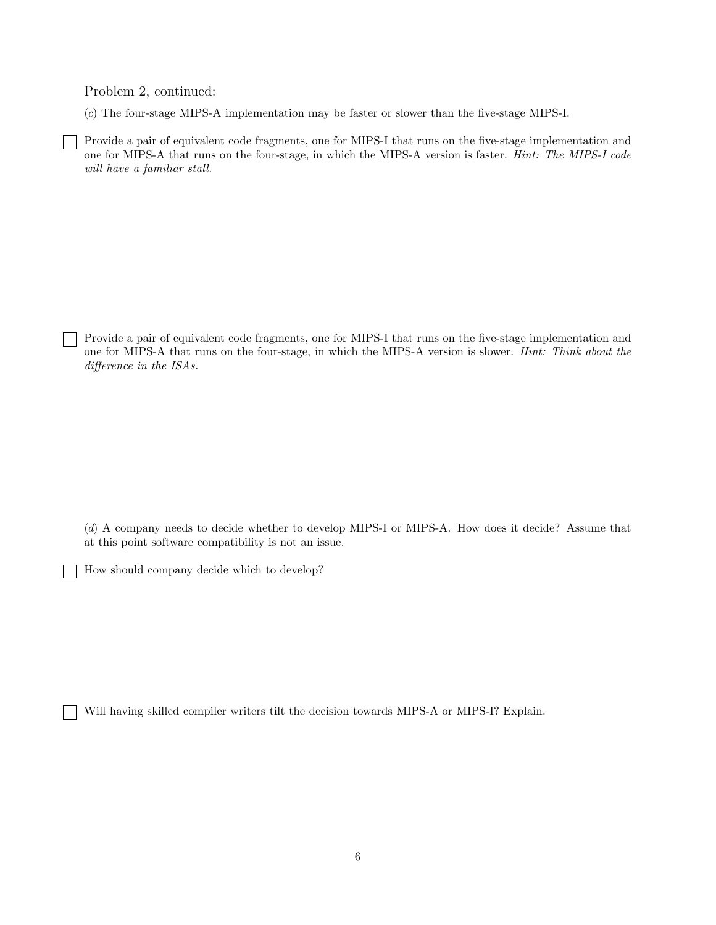Problem 2, continued:

(c) The four-stage MIPS-A implementation may be faster or slower than the five-stage MIPS-I.

Provide a pair of equivalent code fragments, one for MIPS-I that runs on the five-stage implementation and one for MIPS-A that runs on the four-stage, in which the MIPS-A version is faster. Hint: The MIPS-I code will have a familiar stall.

Provide a pair of equivalent code fragments, one for MIPS-I that runs on the five-stage implementation and one for MIPS-A that runs on the four-stage, in which the MIPS-A version is slower. Hint: Think about the difference in the ISAs.

(d) A company needs to decide whether to develop MIPS-I or MIPS-A. How does it decide? Assume that at this point software compatibility is not an issue.

How should company decide which to develop?

Will having skilled compiler writers tilt the decision towards MIPS-A or MIPS-I? Explain.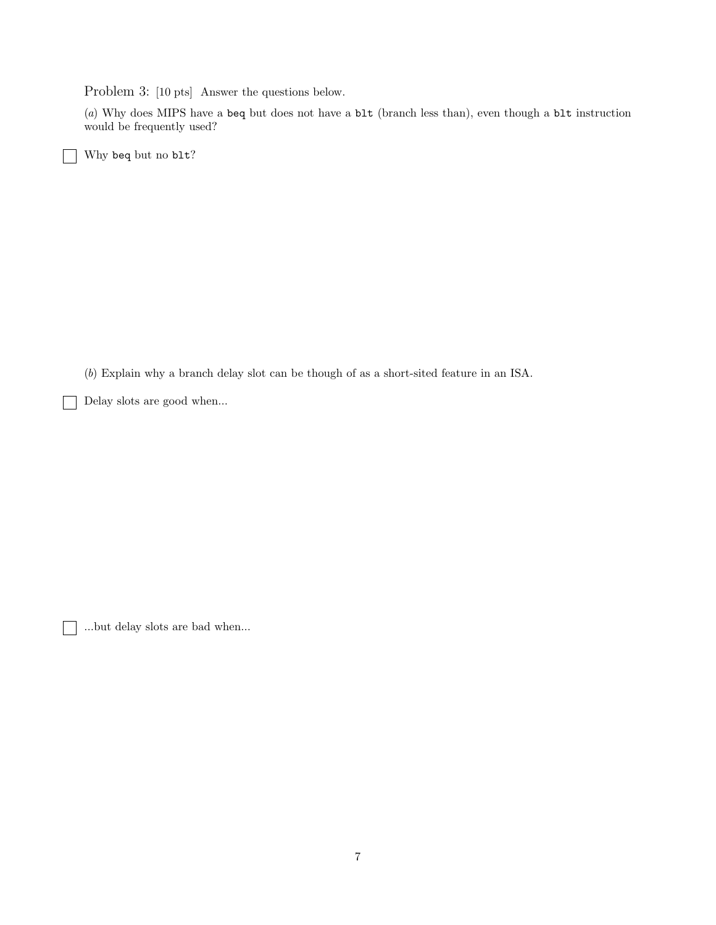Problem 3: [10 pts] Answer the questions below.

(a) Why does MIPS have a beq but does not have a blt (branch less than), even though a blt instruction would be frequently used?

Why beq but no blt?

(b) Explain why a branch delay slot can be though of as a short-sited feature in an ISA.

Delay slots are good when...

...but delay slots are bad when...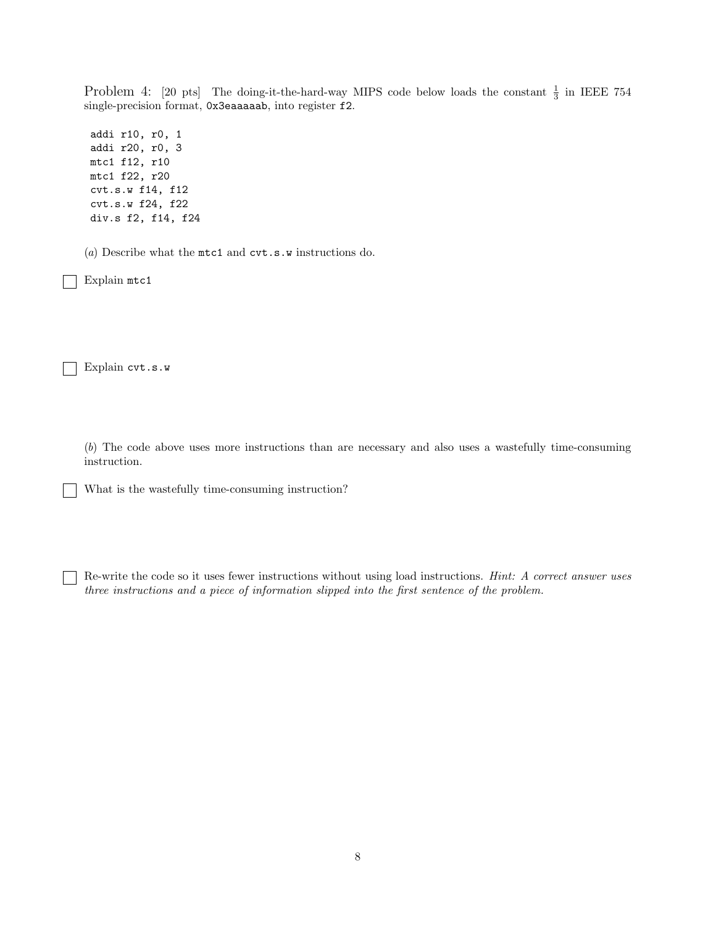Problem 4: [20 pts] The doing-it-the-hard-way MIPS code below loads the constant  $\frac{1}{3}$  in IEEE 754 single-precision format, 0x3eaaaaab, into register f2.

addi r10, r0, 1 addi r20, r0, 3 mtc1 f12, r10 mtc1 f22, r20 cvt.s.w f14, f12 cvt.s.w f24, f22 div.s f2, f14, f24

(a) Describe what the mtc1 and cvt.s.w instructions do.

Explain mtc1

Explain cvt.s.w  $\perp$ 

> (b) The code above uses more instructions than are necessary and also uses a wastefully time-consuming instruction.

What is the wastefully time-consuming instruction?

Re-write the code so it uses fewer instructions without using load instructions. Hint: A correct answer uses three instructions and a piece of information slipped into the first sentence of the problem.